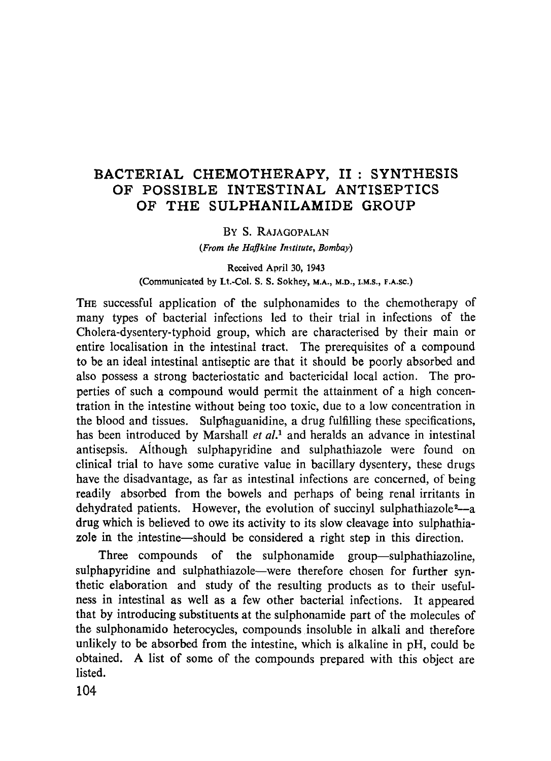# BACTERIAL CHEMOTHERAPY, II: SYNTHESIS OF POSSIBLE INTESTINAL ANTISEPTICS OF THE SULPHANILAMIDE GROUP

### BY S. RAJAGOPALAN

*(From the Haf]kine ln~titute, Bombay)* 

Received April 30, 1943 (Communicated by Lt.-Col. S. S. Sokhey, M.A., M.D., I.M.S., F.A.SC.)

THE Successful application of the sulphonamides to the chemotherapy of many types of bacterial infections led to their trial in infections of the Cholera-dysentery-typhoid group, which are characterised by their main or entire localisation in the intestinal tract. The prerequisites of a compound to be an ideal intestinal antiseptic are that it should be poorly absorbed and also possess a strong bacteriostatic and bactericidal local action. The properties of such a compound would permit the attainment of a high concentration in the intestine without being too toxic, due to a low concentration in the blood and tissues. Sulphaguanidine, a drug fulfilling these specifications, has been introduced by Marshall *et al.*<sup>1</sup> and heralds an advance in intestinal antisepsis. Aithough sulphapyridine and sulphathiazole were found on clinical trial to have some curative value in bacillary dysentery, these drugs have the disadvantage, as far as intestinal infections are concerned, of being readily absorbed from the bowels and perhaps of being renal irritants in dehydrated patients. However, the evolution of succinyl sulphathiazole<sup>2</sup> $-$ a drug which is believed to owe its activity to its slow cleavage into sulphathiazole in the intestine--should be considered a right step in this direction.

Three compounds of the sulphonamide group-sulphathiazoline, sulphapyridine and sulphathiazole-were therefore chosen for further synthetic elaboration and study of the resulting products as to their usefulness in intestinal as well as a few other bacterial infections. It appeared that by introducing substituents at the sulphonamide part of the molecules of the sulphonamido heterocycles, compounds insoluble in alkali and therefore unlikely to be absorbed from the intestine, which is alkaline in pH, could be obtained. A list of some of the compounds prepared with this object are listed.

104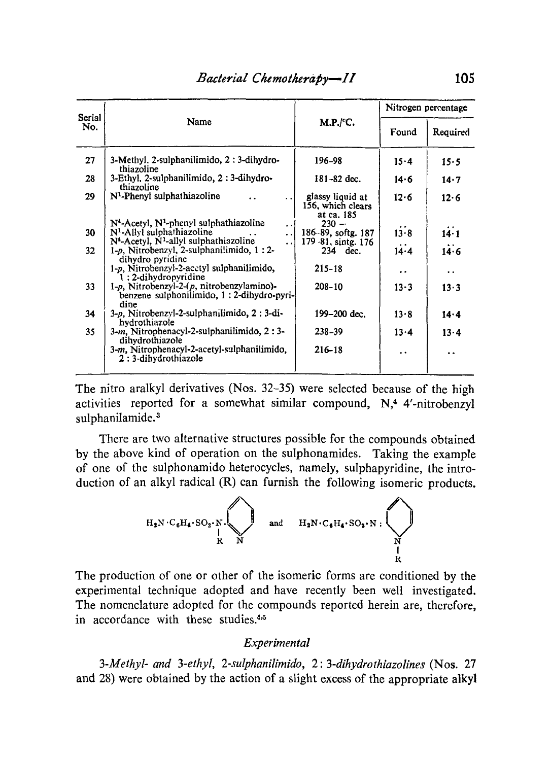| Serial<br>No. |                                                                                                         |                                                     | Nitrogen percentage  |                      |
|---------------|---------------------------------------------------------------------------------------------------------|-----------------------------------------------------|----------------------|----------------------|
|               | Name                                                                                                    | M.P./ <sup>°</sup> C.                               | Found                | Required             |
| 27            | 3-Methyl, 2-sulphanilimido, 2: 3-dihydro-<br>thiazoline                                                 | 196–98                                              | $15-4$               | 15.5                 |
| 28            | 3-Ethyl, 2-sulphanilimido, 2:3-dihydro-<br>thiazoline                                                   | $181 - 82$ dec.                                     | 14.6                 | 14.7                 |
| 29            | N <sup>1</sup> -Phenyl sulphathiazoline                                                                 | glassy liquid at<br>156, which clears<br>at ca. 185 | 12.6                 | 12.6                 |
|               | N <sup>4</sup> -Acetyl, N <sup>1</sup> -phenyl sulphathiazoline<br>$\ddot{\phantom{1}}$                 | $230 -$                                             |                      |                      |
| 30            | N <sup>1</sup> -Allyl sulphathiazoline<br>$\ddotsc$                                                     | 186-89, softg. 187                                  | 13.8                 | 14.1                 |
|               | $N4$ -Acetyl, $N1$ -allyl sulphathiazoline<br>$\ddot{\phantom{a}}$                                      | 179 - 81, sintg. 176                                |                      |                      |
| 32            | $1-p$ , Nitrobenzyl, 2-sulphanilimido, $1:2-$<br>dihydro pyridine                                       | 234 dec.                                            | $14-4$               | 14.6                 |
|               | 1-p. Nitrobenzyl-2-acctyl sulphanilimido,<br>1:2-dihydropyridine                                        | $215 - 18$                                          | $\ddot{\phantom{1}}$ | $\ddot{\phantom{0}}$ |
| 33            | $1-p$ , Nitrobenzyl-2- $(p, n$ itrobenzylamino)-<br>benzene sulphonilimido, 1 : 2-dihydro-pyri-<br>dine | $208 - 10$                                          | $13 - 3$             | 13.3                 |
| 34            | 3-p. Nitrobenzyl-2-sulphanilimido, 2: 3-di-<br>hydrothiazole                                            | 199-200 dec.                                        | 13.8                 | 14.4                 |
| 35            | 3-m, Nitrophenacyl-2-sulphanilimido, 2:3-<br>dihydrothiazole                                            | $238 - 39$                                          | 13.4                 | $13 - 4$             |
|               | 3-m, Nitrophenacyl-2-acetyl-sulphanilimido,<br>2:3-dihydrothiazole                                      | $216 - 18$                                          | $\ddot{\phantom{0}}$ | $\ddot{\phantom{0}}$ |

The nitro aralkyl derivatives (Nos. 32-35) were selected because of the high activities reported for a somewhat similar compound,  $N<sub>1</sub>$ <sup>4</sup> 4'-nitrobenzyl sulphanilamide.<sup>3</sup>

There are two alternative structures possible for the compounds obtained by the above kind of operation on the sulphonamides. Taking the example of one of the sulphonamido heterocycles, namely, sulphapyridine, the introduction of an alkyl radical (R) can furnish the following isomeric products.



The production of one or other of the isomeric forms are conditioned by the experimental technique adopted and have recently been well investigated. The nomenclature adopted for the compounds reported herein are, therefore, in accordance with these studies.<sup>4,5</sup>

#### *Experimental*

*3-Methyl-and 3-ethyl, 2-sulphanilimido, 2: 3-dihydrothiazolines* (Nos. 27 and 28) were obtained by the action of a slight excess of the appropriate alkyl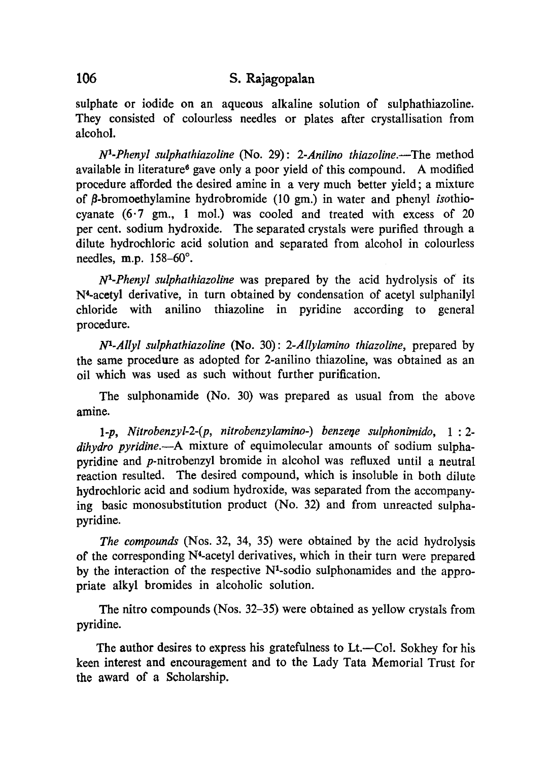sulphate or iodide on an aqueous alkaline solution of sulphathiazoline. They consisted of colourless needles or plates after crystallisation from alcohol.

*N1-Phenyl sulphathiazoline* (No. 29): *2-Anilino thiazoline.--The* method available in literature<sup> $\epsilon$ </sup> gave only a poor yield of this compound. A modified procedure afforded the desired amine in a very much better yield; a mixture of  $\beta$ -bromoethylamine hydrobromide (10 gm.) in water and phenyl *isothio*cyanate (6.7 gm., 1 mol.) was cooled and treated with excess of 20 per cent. sodium hydroxide. The separated crystals were purified through a dilute hydrochloric acid solution and separated from alcohol in colourless needles, m.p.  $158-60^\circ$ .

*NI-Phenyl sulphathia2oline* was prepared by the acid hydrolysis of its N4-acetyl derivative, in turn obtained by condensation of acetyl sulphanilyl chloride with anilino thiazoline in pyridine according to general procedure.

*Na-Allyl sulphathiazoline* (No. 30): *2-Allylamino thiazoline,* prepared by the same procedure as adopted for 2-anilino thiazoline, was obtained as an oil which was used as such without further purification.

The sulphonamide (No. 30) was prepared as usual from the above amine.

1-p, Nitrobenzyl-2-(p, nitrobenzylamino-) benzene sulphonimido, 1:2*dihydro pyridine.--A* mixture of equimolecular amounts of sodium sulphapyridine and p-nitrobenzyl bromide in alcohol was refluxed until a neutral reaction resulted. The desired compound, which is insoluble in both dilute hydrochloric acid and sodium hydroxide, was separated from the accompanying basic monosubstitution product (No. 32) and from unreacted sulphapyridine.

*The compounds* (Nos. 32, 34, 35) were obtained by the acid hydrolysis of the corresponding N4-acetyl derivatives, which in their turn were prepared by the interaction of the respective  $N<sup>1</sup>$ -sodio sulphonamides and the appropriate alkyl bromides in alcoholic solution.

The nitro compounds (Nos. 32-35) were obtained as yellow crystals from pyridine.

The author desires to express his gratefulness to Lt.--Col. Sokhey for his keen interest and encouragement and to the Lady Tata Memorial Trust for the award of a Scholarship.